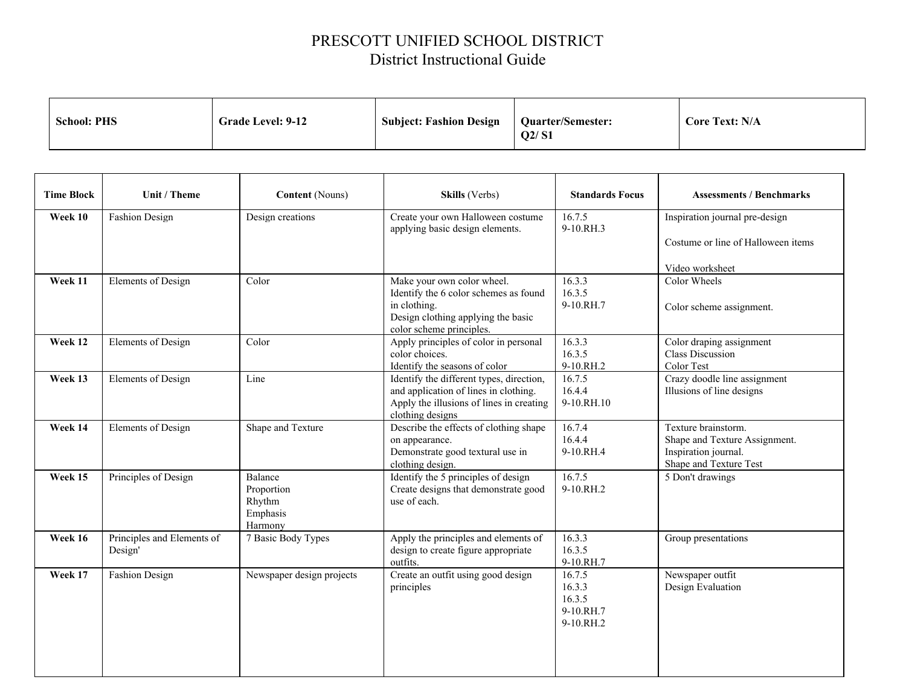## PRESCOTT UNIFIED SCHOOL DISTRICT District Instructional Guide

| Q2/S1 |  | <b>School: PHS</b> | <b>Grade Level: 9-12</b> | <b>Subject: Fashion Design</b> | <b>Quarter/Semester:</b> | <b>Core Text: N/A</b> |
|-------|--|--------------------|--------------------------|--------------------------------|--------------------------|-----------------------|
|-------|--|--------------------|--------------------------|--------------------------------|--------------------------|-----------------------|

| <b>Time Block</b> | Unit / Theme                          | <b>Content</b> (Nouns)                                 | Skills (Verbs)                                                                                                                                        | <b>Standards Focus</b>                               | <b>Assessments / Benchmarks</b>                                                                        |
|-------------------|---------------------------------------|--------------------------------------------------------|-------------------------------------------------------------------------------------------------------------------------------------------------------|------------------------------------------------------|--------------------------------------------------------------------------------------------------------|
| Week 10           | <b>Fashion Design</b>                 | Design creations                                       | Create your own Halloween costume<br>applying basic design elements.                                                                                  | 16.7.5<br>9-10.RH.3                                  | Inspiration journal pre-design<br>Costume or line of Halloween items<br>Video worksheet                |
| Week 11           | Elements of Design                    | Color                                                  | Make your own color wheel.<br>Identify the 6 color schemes as found<br>in clothing.<br>Design clothing applying the basic<br>color scheme principles. | 16.3.3<br>16.3.5<br>9-10.RH.7                        | Color Wheels<br>Color scheme assignment.                                                               |
| Week 12           | Elements of Design                    | Color                                                  | Apply principles of color in personal<br>color choices.<br>Identify the seasons of color                                                              | 16.3.3<br>16.3.5<br>9-10.RH.2                        | Color draping assignment<br><b>Class Discussion</b><br>Color Test                                      |
| Week 13           | Elements of Design                    | Line                                                   | Identify the different types, direction,<br>and application of lines in clothing.<br>Apply the illusions of lines in creating<br>clothing designs     | 16.7.5<br>16.4.4<br>9-10.RH.10                       | Crazy doodle line assignment<br>Illusions of line designs                                              |
| Week 14           | Elements of Design                    | Shape and Texture                                      | Describe the effects of clothing shape<br>on appearance.<br>Demonstrate good textural use in<br>clothing design.                                      | 16.7.4<br>16.4.4<br>9-10.RH.4                        | Texture brainstorm.<br>Shape and Texture Assignment.<br>Inspiration journal.<br>Shape and Texture Test |
| Week 15           | Principles of Design                  | Balance<br>Proportion<br>Rhythm<br>Emphasis<br>Harmony | Identify the 5 principles of design<br>Create designs that demonstrate good<br>use of each.                                                           | 16.7.5<br>$9-10.RH.2$                                | 5 Don't drawings                                                                                       |
| Week 16           | Principles and Elements of<br>Design' | 7 Basic Body Types                                     | Apply the principles and elements of<br>design to create figure appropriate<br>outfits.                                                               | 16.3.3<br>16.3.5<br>9-10.RH.7                        | Group presentations                                                                                    |
| Week 17           | <b>Fashion Design</b>                 | Newspaper design projects                              | Create an outfit using good design<br>principles                                                                                                      | 16.7.5<br>16.3.3<br>16.3.5<br>9-10.RH.7<br>9-10.RH.2 | Newspaper outfit<br>Design Evaluation                                                                  |